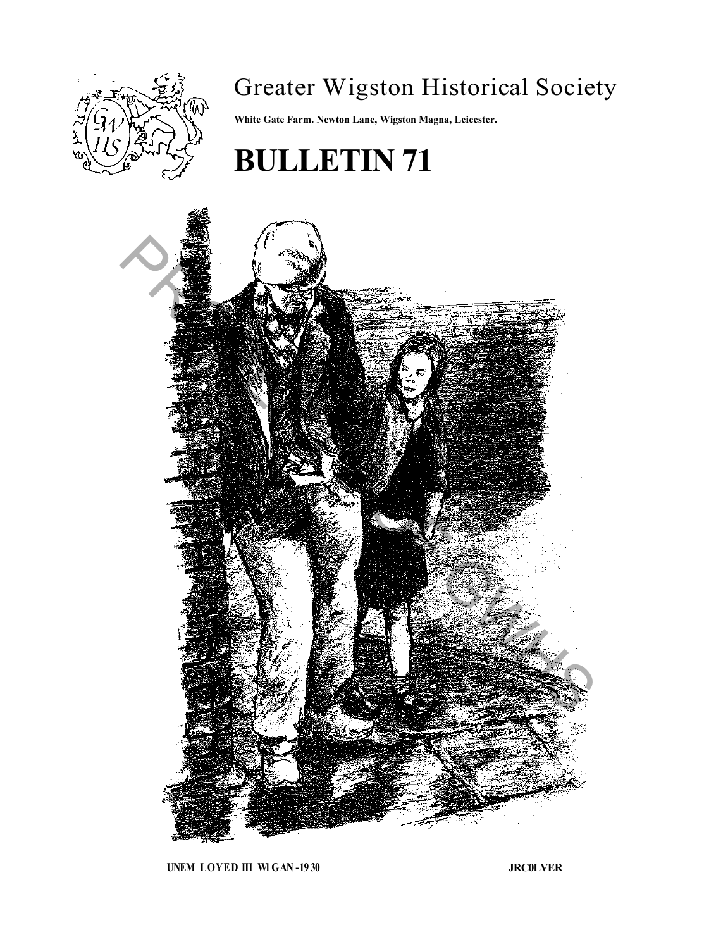

# Greater Wigston Historical Society

**White Gate Farm. Newton Lane, Wigston Magna, Leicester.**

# **BULLETIN 71**



**UNEM LOYED IH Wl GAN -19 30 JRC0LVER**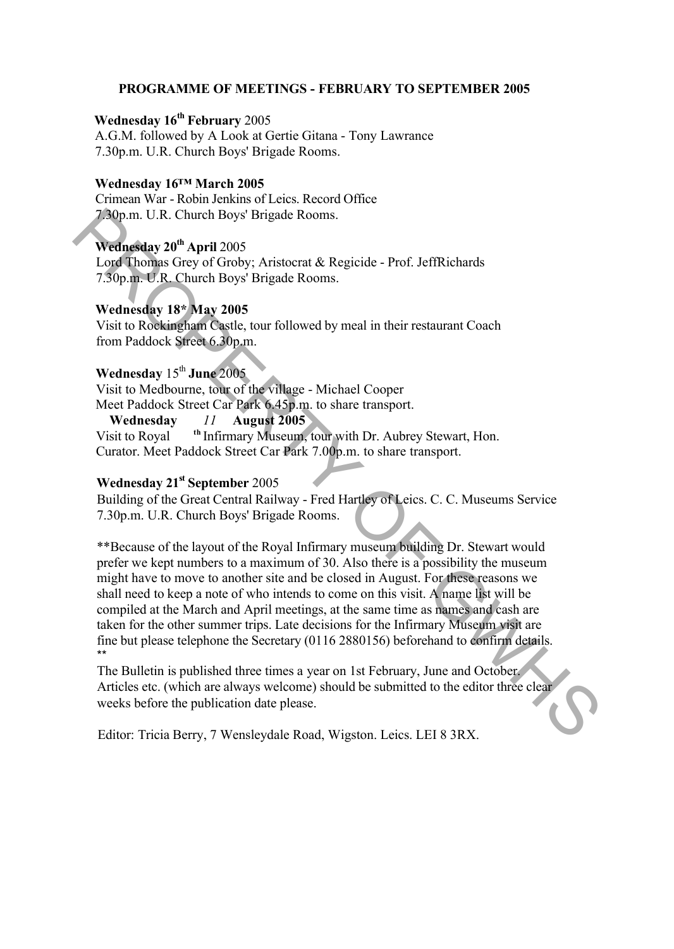#### **PROGRAMME OF MEETINGS - FEBRUARY TO SEPTEMBER 2005**

# **Wednesday 16th February** 2005

A.G.M. followed by A Look at Gertie Gitana - Tony Lawrance 7.30p.m. U.R. Church Boys' Brigade Rooms.

#### **Wednesday 16™ March 2005**

Crimean War - Robin Jenkins of Leics. Record Office 7.30p.m. U.R. Church Boys' Brigade Rooms.

# **Wednesday 20th April** 2005

Lord Thomas Grey of Groby; Aristocrat & Regicide - Prof. JeffRichards 7.30p.m. U.R. Church Boys' Brigade Rooms.

#### **Wednesday 18\* May 2005**

Visit to Rockingham Castle, tour followed by meal in their restaurant Coach from Paddock Street 6.30p.m.

## **Wednesday** 15th **June** 2005

Visit to Medbourne, tour of the village - Michael Cooper Meet Paddock Street Car Park 6.45p.m. to share transport.

**Wednesday** *11* **August 2005** Visit to Royal <sup>th</sup> Infirmary Museum, tour with Dr. Aubrey Stewart, Hon. Curator. Meet Paddock Street Car Park 7.00p.m. to share transport.

### **Wednesday 21st September** 2005

Building of the Great Central Railway - Fred Hartley of Leics. C. C. Museums Service 7.30p.m. U.R. Church Boys' Brigade Rooms.

\*\*Because of the layout of the Royal Infirmary museum building Dr. Stewart would prefer we kept numbers to a maximum of 30. Also there is a possibility the museum might have to move to another site and be closed in August. For these reasons we shall need to keep a note of who intends to come on this visit. A name list will be compiled at the March and April meetings, at the same time as names and cash are taken for the other summer trips. Late decisions for the Infirmary Museum visit are fine but please telephone the Secretary (0116 2880156) beforehand to confirm details. \*\* 7.90p m. U.R. Church Boys' Brigade Rooms.<br> **Wednesday 20<sup>th</sup> April 2005**<br> **1.org** Tommes Crey of Groby: Aristocrat & Regicide - Prof. JeffRichards<br>
7.50p m. U.R. Church Boys' Brigade Rooms.<br>
Wednesday 18° May 2005<br>
Visit

The Bulletin is published three times a year on 1st February, June and October. Articles etc. (which are always welcome) should be submitted to the editor three clear weeks before the publication date please.

Editor: Tricia Berry, 7 Wensleydale Road, Wigston. Leics. LEI 8 3RX.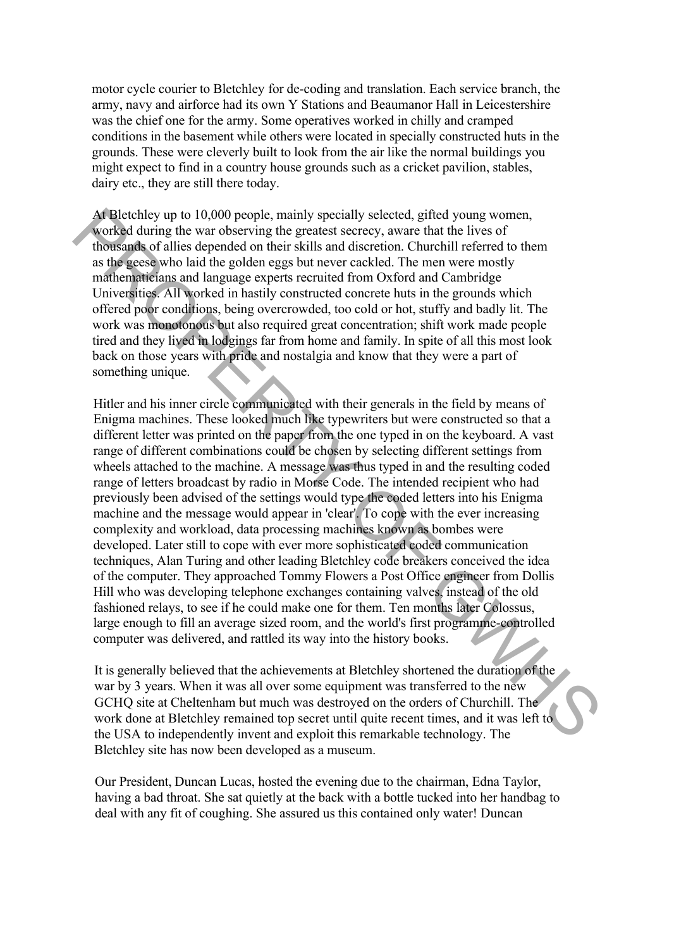motor cycle courier to Bletchley for de-coding and translation. Each service branch, the army, navy and airforce had its own Y Stations and Beaumanor Hall in Leicestershire was the chief one for the army. Some operatives worked in chilly and cramped conditions in the basement while others were located in specially constructed huts in the grounds. These were cleverly built to look from the air like the normal buildings you might expect to find in a country house grounds such as a cricket pavilion, stables, dairy etc., they are still there today.

At Bletchley up to 10,000 people, mainly specially selected, gifted young women, worked during the war observing the greatest secrecy, aware that the lives of thousands of allies depended on their skills and discretion. Churchill referred to them as the geese who laid the golden eggs but never cackled. The men were mostly mathematicians and language experts recruited from Oxford and Cambridge Universities. All worked in hastily constructed concrete huts in the grounds which offered poor conditions, being overcrowded, too cold or hot, stuffy and badly lit. The work was monotonous but also required great concentration; shift work made people tired and they lived in lodgings far from home and family. In spite of all this most look back on those years with pride and nostalgia and know that they were a part of something unique.

Hitler and his inner circle communicated with their generals in the field by means of Enigma machines. These looked much like typewriters but were constructed so that a different letter was printed on the paper from the one typed in on the keyboard. A vast range of different combinations could be chosen by selecting different settings from wheels attached to the machine. A message was thus typed in and the resulting coded range of letters broadcast by radio in Morse Code. The intended recipient who had previously been advised of the settings would type the coded letters into his Enigma machine and the message would appear in 'clear'. To cope with the ever increasing complexity and workload, data processing machines known as bombes were developed. Later still to cope with ever more sophisticated coded communication techniques, Alan Turing and other leading Bletchley code breakers conceived the idea of the computer. They approached Tommy Flowers a Post Office engineer from Dollis Hill who was developing telephone exchanges containing valves, instead of the old fashioned relays, to see if he could make one for them. Ten months later Colossus, large enough to fill an average sized room, and the world's first programme-controlled computer was delivered, and rattled its way into the history books. Af Welchely up to 10,000 people, mainly specied, and in good and specied and interaction and the state and the state and the state and the state and the state and the state and the state and the state and the state and th

It is generally believed that the achievements at Bletchley shortened the duration of the war by 3 years. When it was all over some equipment was transferred to the new GCHQ site at Cheltenham but much was destroyed on the orders of Churchill. The work done at Bletchley remained top secret until quite recent times, and it was left to the USA to independently invent and exploit this remarkable technology. The Bletchley site has now been developed as a museum.

Our President, Duncan Lucas, hosted the evening due to the chairman, Edna Taylor, having a bad throat. She sat quietly at the back with a bottle tucked into her handbag to deal with any fit of coughing. She assured us this contained only water! Duncan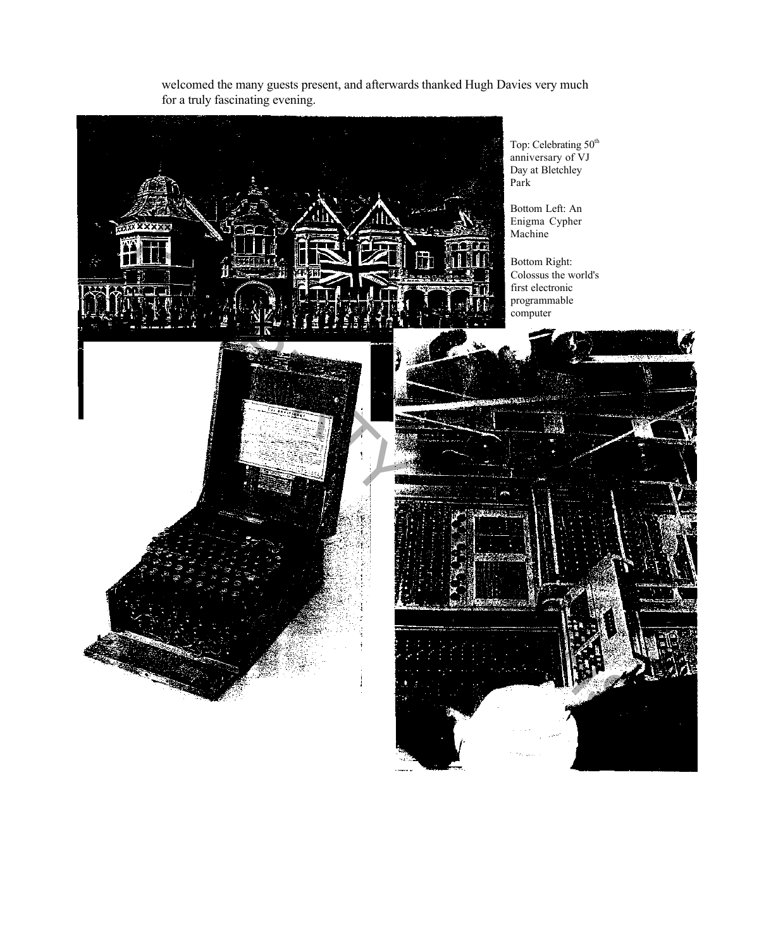

welcomed the many guests present, and afterwards thanked Hugh Davies very much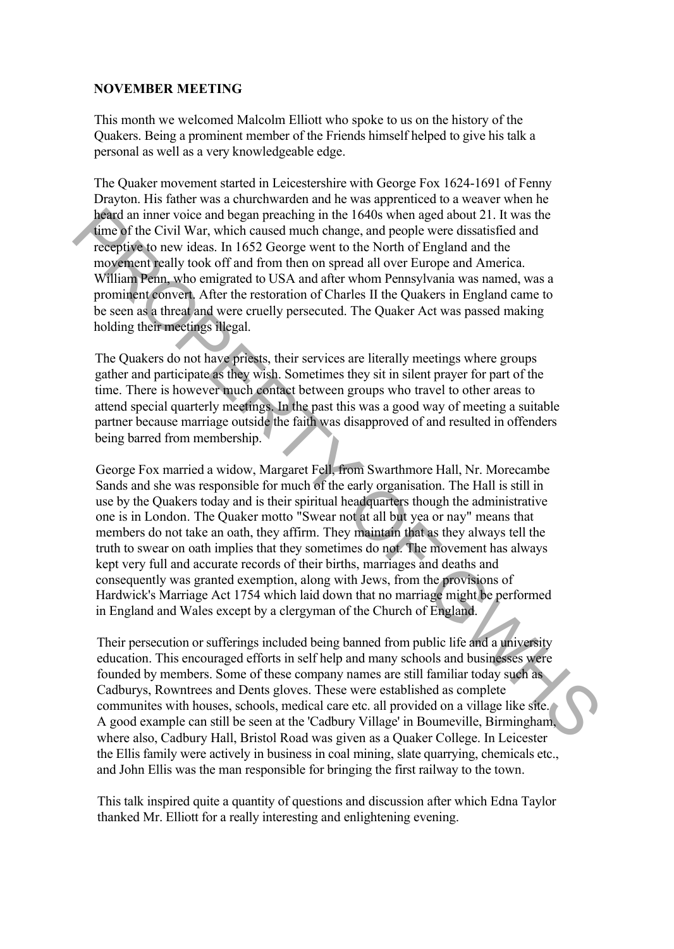#### **NOVEMBER MEETING**

This month we welcomed Malcolm Elliott who spoke to us on the history of the Quakers. Being a prominent member of the Friends himself helped to give his talk a personal as well as a very knowledgeable edge.

The Quaker movement started in Leicestershire with George Fox 1624-1691 of Fenny Drayton. His father was a churchwarden and he was apprenticed to a weaver when he heard an inner voice and began preaching in the 1640s when aged about 21. It was the time of the Civil War, which caused much change, and people were dissatisfied and receptive to new ideas. In 1652 George went to the North of England and the movement really took off and from then on spread all over Europe and America. William Penn, who emigrated to USA and after whom Pennsylvania was named, was a prominent convert. After the restoration of Charles II the Quakers in England came to be seen as a threat and were cruelly persecuted. The Quaker Act was passed making holding their meetings illegal.

The Quakers do not have priests, their services are literally meetings where groups gather and participate as they wish. Sometimes they sit in silent prayer for part of the time. There is however much contact between groups who travel to other areas to attend special quarterly meetings. In the past this was a good way of meeting a suitable partner because marriage outside the faith was disapproved of and resulted in offenders being barred from membership.

George Fox married a widow, Margaret Fell, from Swarthmore Hall, Nr. Morecambe Sands and she was responsible for much of the early organisation. The Hall is still in use by the Quakers today and is their spiritual headquarters though the administrative one is in London. The Quaker motto "Swear not at all but yea or nay" means that members do not take an oath, they affirm. They maintain that as they always tell the truth to swear on oath implies that they sometimes do not. The movement has always kept very full and accurate records of their births, marriages and deaths and consequently was granted exemption, along with Jews, from the provisions of Hardwick's Marriage Act 1754 which laid down that no marriage might be performed in England and Wales except by a clergyman of the Church of England. be and nine woice and began preaching in the 1640s when geed about 21. It was the same property to new ideas. In 1652 George went to the North of Fingland and the movement healty took off and form then on spread all over

Their persecution or sufferings included being banned from public life and a university education. This encouraged efforts in self help and many schools and businesses were founded by members. Some of these company names are still familiar today such as Cadburys, Rowntrees and Dents gloves. These were established as complete communites with houses, schools, medical care etc. all provided on a village like site. A good example can still be seen at the 'Cadbury Village' in Boumeville, Birmingham, where also, Cadbury Hall, Bristol Road was given as a Quaker College. In Leicester the Ellis family were actively in business in coal mining, slate quarrying, chemicals etc., and John Ellis was the man responsible for bringing the first railway to the town.

This talk inspired quite a quantity of questions and discussion after which Edna Taylor thanked Mr. Elliott for a really interesting and enlightening evening.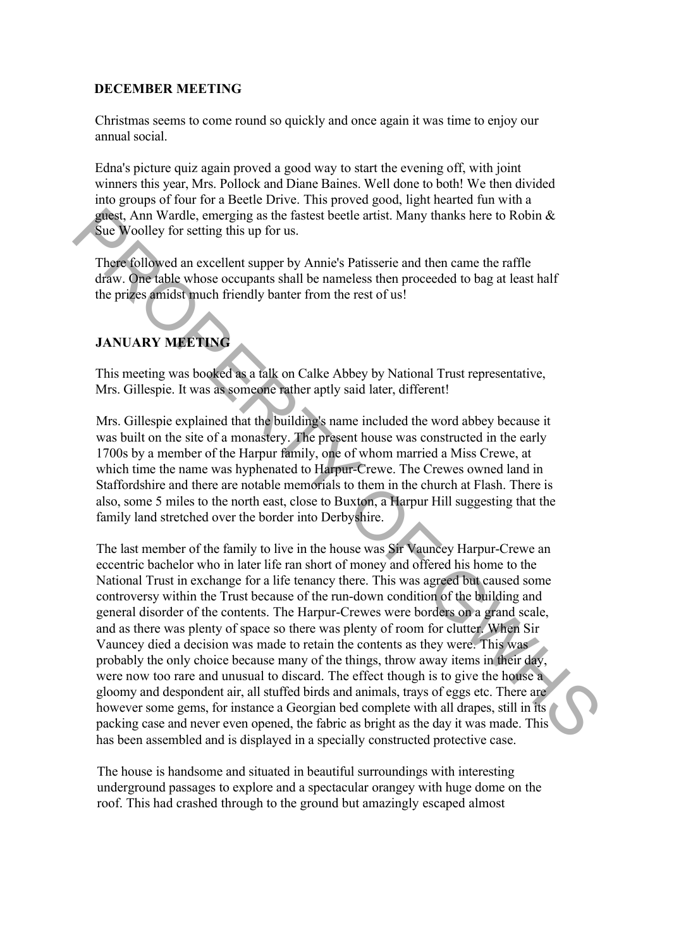#### **DECEMBER MEETING**

Christmas seems to come round so quickly and once again it was time to enjoy our annual social.

Edna's picture quiz again proved a good way to start the evening off, with joint winners this year, Mrs. Pollock and Diane Baines. Well done to both! We then divided into groups of four for a Beetle Drive. This proved good, light hearted fun with a guest, Ann Wardle, emerging as the fastest beetle artist. Many thanks here to Robin & Sue Woolley for setting this up for us.

There followed an excellent supper by Annie's Patisserie and then came the raffle draw. One table whose occupants shall be nameless then proceeded to bag at least half the prizes amidst much friendly banter from the rest of us!

# **JANUARY MEETING**

This meeting was booked as a talk on Calke Abbey by National Trust representative, Mrs. Gillespie. It was as someone rather aptly said later, different!

Mrs. Gillespie explained that the building's name included the word abbey because it was built on the site of a monastery. The present house was constructed in the early 1700s by a member of the Harpur family, one of whom married a Miss Crewe, at which time the name was hyphenated to Harpur-Crewe. The Crewes owned land in Staffordshire and there are notable memorials to them in the church at Flash. There is also, some 5 miles to the north east, close to Buxton, a Harpur Hill suggesting that the family land stretched over the border into Derbyshire.

The last member of the family to live in the house was Sir Vauncey Harpur-Crewe an eccentric bachelor who in later life ran short of money and offered his home to the National Trust in exchange for a life tenancy there. This was agreed but caused some controversy within the Trust because of the run-down condition of the building and general disorder of the contents. The Harpur-Crewes were borders on a grand scale, and as there was plenty of space so there was plenty of room for clutter. When Sir Vauncey died a decision was made to retain the contents as they were. This was probably the only choice because many of the things, throw away items in their day, were now too rare and unusual to discard. The effect though is to give the house a gloomy and despondent air, all stuffed birds and animals, trays of eggs etc. There are however some gems, for instance a Georgian bed complete with all drapes, still in its packing case and never even opened, the fabric as bright as the day it was made. This has been assembled and is displayed in a specially constructed protective case. gated, Ann Wardle, emerging as the lastest beede artist. Many thanks here to Robin &<br>Sea, Am Worldy for setting this up for us.<br>The voltoge followed an excellent supper by Annie's Patisestrie and then came the raffile<br>fra

The house is handsome and situated in beautiful surroundings with interesting underground passages to explore and a spectacular orangey with huge dome on the roof. This had crashed through to the ground but amazingly escaped almost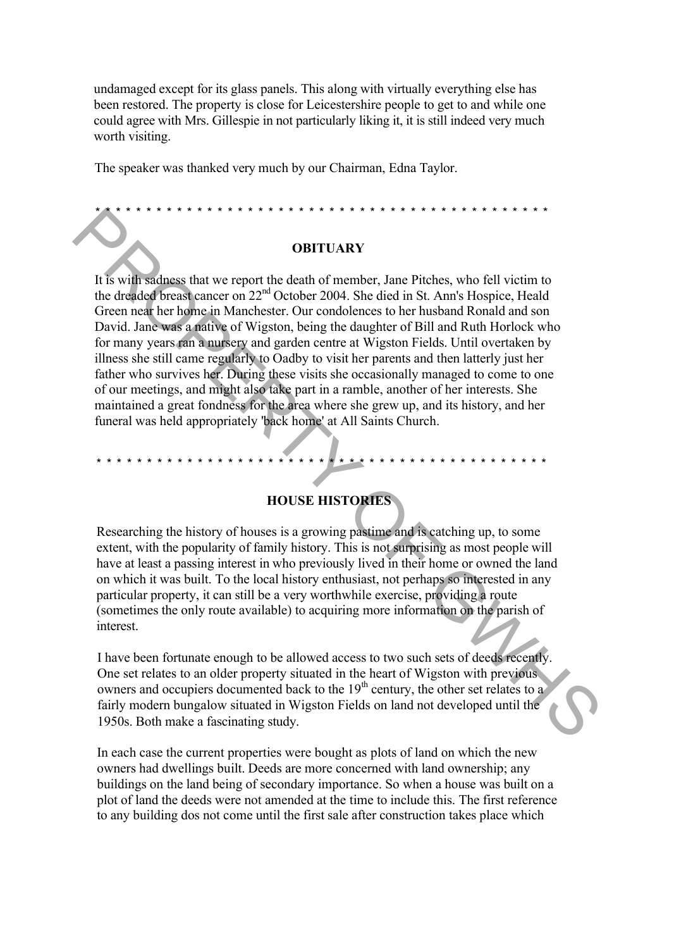undamaged except for its glass panels. This along with virtually everything else has been restored. The property is close for Leicestershire people to get to and while one could agree with Mrs. Gillespie in not particularly liking it, it is still indeed very much worth visiting.

The speaker was thanked very much by our Chairman, Edna Taylor.

\* \* \* \* \* \* \* \* \* \* \* \* \* \* \* \* \* \* \* \* \* \* \* \* \* \* \* \* \* \* \* \* \* \* \* \* \* \* \* \* \* \* \* \* \*

#### **OBITUARY**

It is with sadness that we report the death of member, Jane Pitches, who fell victim to the dreaded breast cancer on 22<sup>nd</sup> October 2004. She died in St. Ann's Hospice, Heald Green near her home in Manchester. Our condolences to her husband Ronald and son David. Jane was a native of Wigston, being the daughter of Bill and Ruth Horlock who for many years ran a nursery and garden centre at Wigston Fields. Until overtaken by illness she still came regularly to Oadby to visit her parents and then latterly just her father who survives her. During these visits she occasionally managed to come to one of our meetings, and might also take part in a ramble, another of her interests. She maintained a great fondness for the area where she grew up, and its history, and her funeral was held appropriately 'back home' at All Saints Church. **COBITUARY**<br> **COBITUARY**<br>
It is with sadingss that we report the death of member, June Pitches, who fell vietim to<br>the drived break dense con 22<sup>92</sup> October 2004. She died in St. Amis Hospice, Healt<br>
force an ed ber hypnes

\* \* \* \* \* \* \* \* \* \* \* \* \* \* \* \* \* \* \* \* \* \* \* \* \* \* \* \* \* \* \* \* \* \* \* \* \* \* \* \* \* \* \* \* \*

# **HOUSE HISTORIES**

Researching the history of houses is a growing pastime and is catching up, to some extent, with the popularity of family history. This is not surprising as most people will have at least a passing interest in who previously lived in their home or owned the land on which it was built. To the local history enthusiast, not perhaps so interested in any particular property, it can still be a very worthwhile exercise, providing a route (sometimes the only route available) to acquiring more information on the parish of interest.

I have been fortunate enough to be allowed access to two such sets of deeds recently. One set relates to an older property situated in the heart of Wigston with previous owners and occupiers documented back to the  $19<sup>th</sup>$  century, the other set relates to a fairly modern bungalow situated in Wigston Fields on land not developed until the 1950s. Both make a fascinating study.

In each case the current properties were bought as plots of land on which the new owners had dwellings built. Deeds are more concerned with land ownership; any buildings on the land being of secondary importance. So when a house was built on a plot of land the deeds were not amended at the time to include this. The first reference to any building dos not come until the first sale after construction takes place which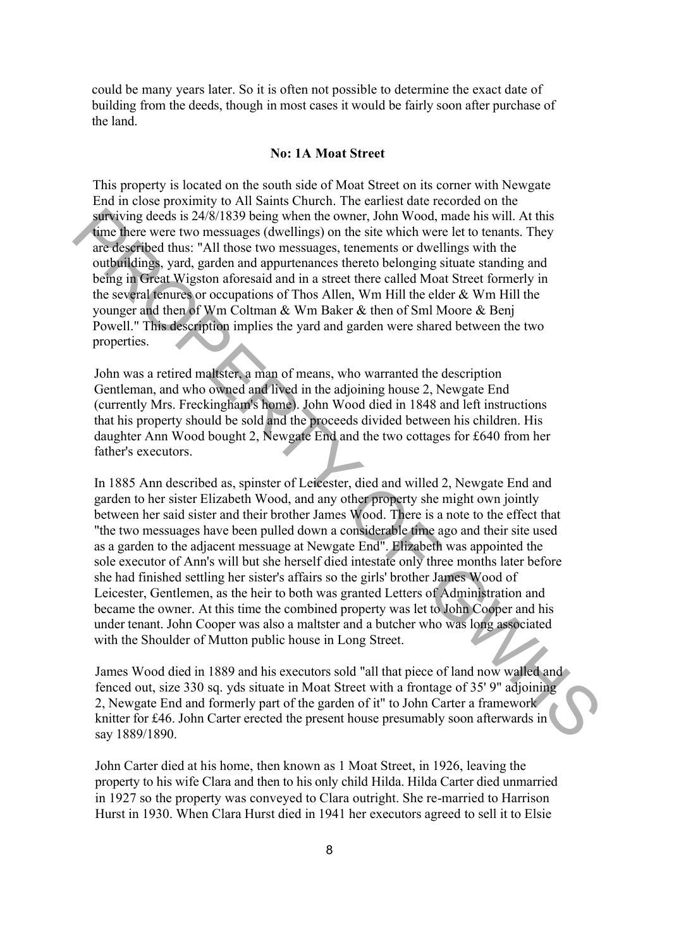could be many years later. So it is often not possible to determine the exact date of building from the deeds, though in most cases it would be fairly soon after purchase of the land.

#### **No: 1A Moat Street**

This property is located on the south side of Moat Street on its corner with Newgate End in close proximity to All Saints Church. The earliest date recorded on the surviving deeds is 24/8/1839 being when the owner, John Wood, made his will. At this time there were two messuages (dwellings) on the site which were let to tenants. They are described thus: "All those two messuages, tenements or dwellings with the outbuildings, yard, garden and appurtenances thereto belonging situate standing and being in Great Wigston aforesaid and in a street there called Moat Street formerly in the several tenures or occupations of Thos Allen, Wm Hill the elder & Wm Hill the younger and then of Wm Coltman & Wm Baker & then of Sml Moore & Benj Powell." This description implies the yard and garden were shared between the two properties.

John was a retired maltster, a man of means, who warranted the description Gentleman, and who owned and lived in the adjoining house 2, Newgate End (currently Mrs. Freckingham's home). John Wood died in 1848 and left instructions that his property should be sold and the proceeds divided between his children. His daughter Ann Wood bought 2, Newgate End and the two cottages for £640 from her father's executors.

In 1885 Ann described as, spinster of Leicester, died and willed 2, Newgate End and garden to her sister Elizabeth Wood, and any other property she might own jointly between her said sister and their brother James Wood. There is a note to the effect that "the two messuages have been pulled down a considerable time ago and their site used as a garden to the adjacent messuage at Newgate End". Elizabeth was appointed the sole executor of Ann's will but she herself died intestate only three months later before she had finished settling her sister's affairs so the girls' brother James Wood of Leicester, Gentlemen, as the heir to both was granted Letters of Administration and became the owner. At this time the combined property was let to John Cooper and his under tenant. John Cooper was also a maltster and a butcher who was long associated with the Shoulder of Mutton public house in Long Street. strump declisi 24/8/1839 being when the owent, blom bwood, made has will. At this weak the symparity ing declings) on the sile which word is the constant of the outginal and the constrained of the state of the constrained

James Wood died in 1889 and his executors sold "all that piece of land now walled and fenced out, size 330 sq. yds situate in Moat Street with a frontage of 35' 9" adjoining 2, Newgate End and formerly part of the garden of it" to John Carter a framework knitter for £46. John Carter erected the present house presumably soon afterwards in say 1889/1890.

John Carter died at his home, then known as 1 Moat Street, in 1926, leaving the property to his wife Clara and then to his only child Hilda. Hilda Carter died unmarried in 1927 so the property was conveyed to Clara outright. She re-married to Harrison Hurst in 1930. When Clara Hurst died in 1941 her executors agreed to sell it to Elsie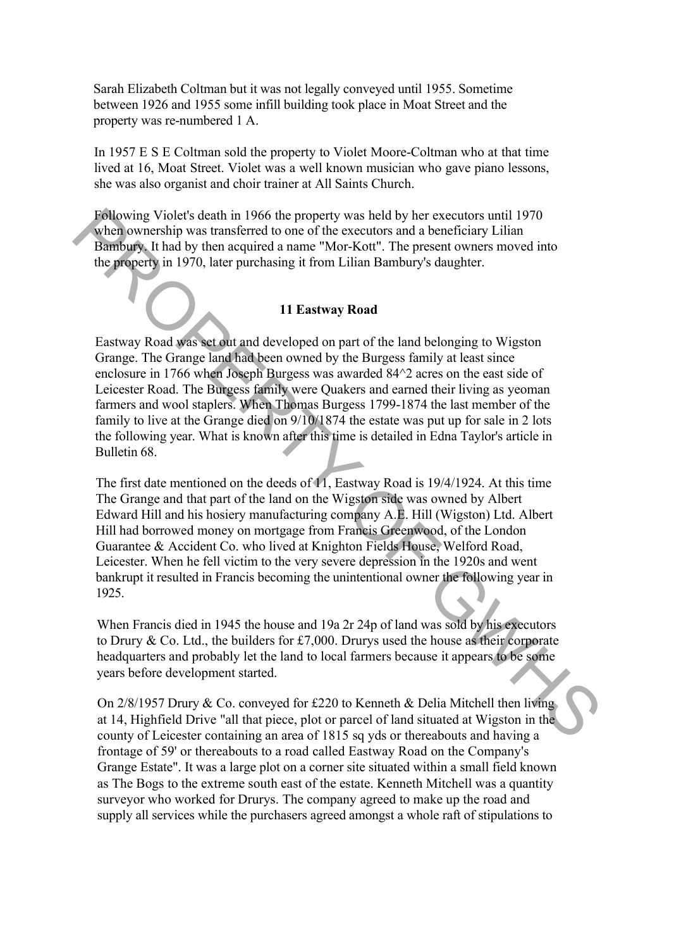Sarah Elizabeth Coltman but it was not legally conveyed until 1955. Sometime between 1926 and 1955 some infill building took place in Moat Street and the property was re-numbered 1 A.

In 1957 E S E Coltman sold the property to Violet Moore-Coltman who at that time lived at 16, Moat Street. Violet was a well known musician who gave piano lessons, she was also organist and choir trainer at All Saints Church.

Following Violet's death in 1966 the property was held by her executors until 1970 when ownership was transferred to one of the executors and a beneficiary Lilian Bambury. It had by then acquired a name "Mor-Kott". The present owners moved into the property in 1970, later purchasing it from Lilian Bambury's daughter.

#### **11 Eastway Road**

Eastway Road was set out and developed on part of the land belonging to Wigston Grange. The Grange land had been owned by the Burgess family at least since enclosure in 1766 when Joseph Burgess was awarded 84^2 acres on the east side of Leicester Road. The Burgess family were Quakers and earned their living as yeoman farmers and wool staplers. When Thomas Burgess 1799-1874 the last member of the family to live at the Grange died on 9/10/1874 the estate was put up for sale in 2 lots the following year. What is known after this time is detailed in Edna Taylor's article in Bulletin 68.

The first date mentioned on the deeds of 11, Eastway Road is 19/4/1924. At this time The Grange and that part of the land on the Wigston side was owned by Albert Edward Hill and his hosiery manufacturing company A.E. Hill (Wigston) Ltd. Albert Hill had borrowed money on mortgage from Francis Greenwood, of the London Guarantee & Accident Co. who lived at Knighton Fields House, Welford Road, Leicester. When he fell victim to the very severe depression in the 1920s and went bankrupt it resulted in Francis becoming the unintentional owner the following year in 1925. Following Violet's death in 1966 the property was held by her executors and l1970<br>planety was transferred to one of the executors and a beneficiary Lilian<br>Bambuys. It had by then acquired a name "Mor-Kott". The present ow

When Francis died in 1945 the house and 19a 2r 24p of land was sold by his executors to Drury & Co. Ltd., the builders for £7,000. Drurys used the house as their corporate headquarters and probably let the land to local farmers because it appears to be some years before development started.

On  $2/8/1957$  Drury & Co. conveyed for £220 to Kenneth & Delia Mitchell then living at 14, Highfield Drive "all that piece, plot or parcel of land situated at Wigston in the county of Leicester containing an area of 1815 sq yds or thereabouts and having a frontage of 59' or thereabouts to a road called Eastway Road on the Company's Grange Estate". It was a large plot on a corner site situated within a small field known as The Bogs to the extreme south east of the estate. Kenneth Mitchell was a quantity surveyor who worked for Drurys. The company agreed to make up the road and supply all services while the purchasers agreed amongst a whole raft of stipulations to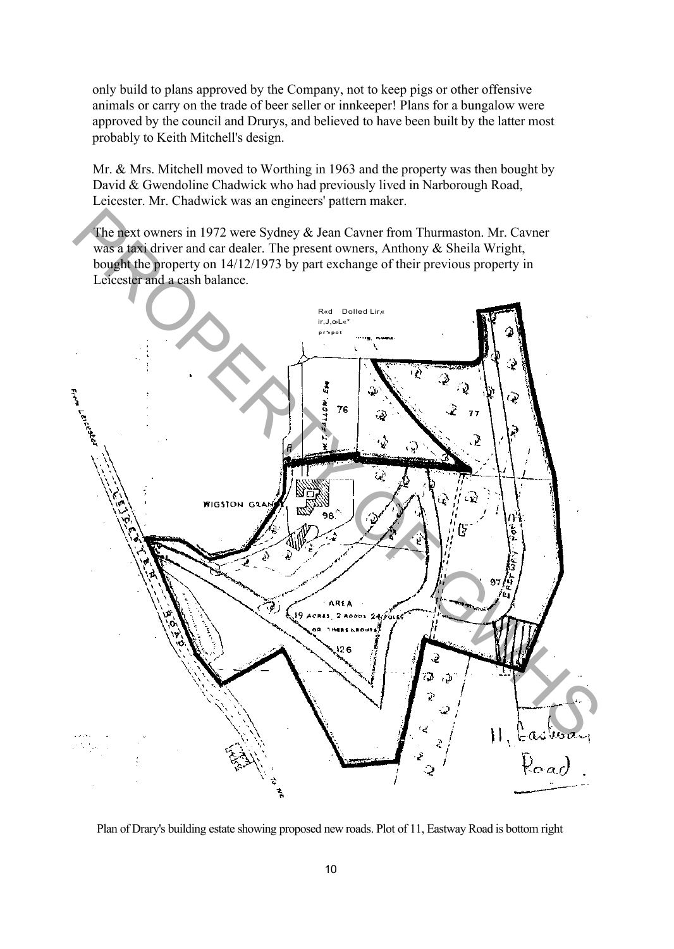only build to plans approved by the Company, not to keep pigs or other offensive animals or carry on the trade of beer seller or innkeeper! Plans for a bungalow were approved by the council and Drurys, and believed to have been built by the latter most probably to Keith Mitchell's design.

Mr. & Mrs. Mitchell moved to Worthing in 1963 and the property was then bought by David & Gwendoline Chadwick who had previously lived in Narborough Road, Leicester. Mr. Chadwick was an engineers' pattern maker.

The next owners in 1972 were Sydney & Jean Cavner from Thurmaston. Mr. Cavner was a taxi driver and car dealer. The present owners, Anthony & Sheila Wright, bought the property on 14/12/1973 by part exchange of their previous property in Leicester and a cash balance.



Plan of Drary's building estate showing proposed new roads. Plot of 11, Eastway Road is bottom right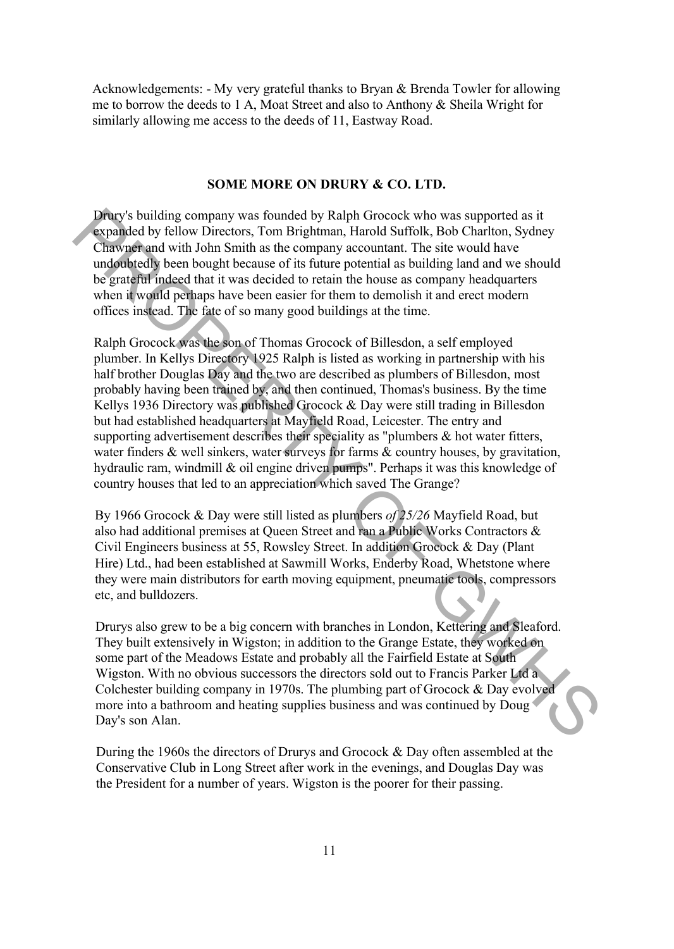Acknowledgements: - My very grateful thanks to Bryan & Brenda Towler for allowing me to borrow the deeds to 1 A, Moat Street and also to Anthony & Sheila Wright for similarly allowing me access to the deeds of 11, Eastway Road.

#### **SOME MORE ON DRURY & CO. LTD.**

Drury's building company was founded by Ralph Grocock who was supported as it expanded by fellow Directors, Tom Brightman, Harold Suffolk, Bob Charlton, Sydney Chawner and with John Smith as the company accountant. The site would have undoubtedly been bought because of its future potential as building land and we should be grateful indeed that it was decided to retain the house as company headquarters when it would perhaps have been easier for them to demolish it and erect modern offices instead. The fate of so many good buildings at the time.

Ralph Grocock was the son of Thomas Grocock of Billesdon, a self employed plumber. In Kellys Directory 1925 Ralph is listed as working in partnership with his half brother Douglas Day and the two are described as plumbers of Billesdon, most probably having been trained by, and then continued, Thomas's business. By the time Kellys 1936 Directory was published Grocock & Day were still trading in Billesdon but had established headquarters at Mayfield Road, Leicester. The entry and supporting advertisement describes their speciality as "plumbers & hot water fitters, water finders  $\&$  well sinkers, water surveys for farms  $\&$  country houses, by gravitation, hydraulic ram, windmill & oil engine driven pumps". Perhaps it was this knowledge of country houses that led to an appreciation which saved The Grange? **Dracy** building company was founded by Ralph Groocok who was supported as it depends the property changed by fellow Directors, Tom Brightman, Harold Suffolk, Bob Charlon, Sydney Chawajer and with John Smith as the compan

By 1966 Grocock & Day were still listed as plumbers *of 25/26* Mayfield Road, but also had additional premises at Queen Street and ran a Public Works Contractors & Civil Engineers business at 55, Rowsley Street. In addition Grocock & Day (Plant Hire) Ltd., had been established at Sawmill Works, Enderby Road, Whetstone where they were main distributors for earth moving equipment, pneumatic tools, compressors etc, and bulldozers.

Drurys also grew to be a big concern with branches in London, Kettering and Sleaford. They built extensively in Wigston; in addition to the Grange Estate, they worked on some part of the Meadows Estate and probably all the Fairfield Estate at South Wigston. With no obvious successors the directors sold out to Francis Parker Ltd a Colchester building company in 1970s. The plumbing part of Grocock & Day evolved more into a bathroom and heating supplies business and was continued by Doug Day's son Alan.

During the 1960s the directors of Drurys and Grocock & Day often assembled at the Conservative Club in Long Street after work in the evenings, and Douglas Day was the President for a number of years. Wigston is the poorer for their passing.